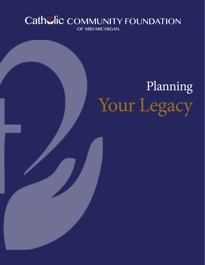# Cathelic COMMUNITY FOUNDATION OF MID-MICHIGAN

# Planning Your Legacy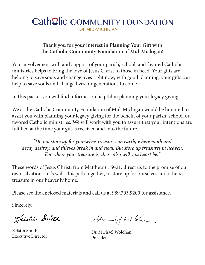# Cath<sup>ol</sup>ic COMMUNITY FOUNDATION OF MID-MICHIGAN

#### **Thank you for your interest in Planning Your Gift with the Catholic Community Foundation of Mid-Michigan!**

Your involvement with and support of your parish, school, and favored Catholic ministries helps to bring the love of Jesus Christ to those in need. Your gifts are helping to save souls and change lives right now; with good planning, your gifts can help to save souls and change lives for generations to come.

In this packet you will find information helpful in planning your legacy giving.

We at the Catholic Community Foundation of Mid-Michigan would be honored to assist you with planning your legacy giving for the benefit of your parish, school, or favored Catholic ministries. We will work with you to assure that your intentions are fulfilled at the time your gift is received and into the future.

#### *"Do not store up for yourselves treasures on earth, where moth and decay destroy, and thieves break in and steal. But store up treasures in heaven. For where your treasure is, there also will you heart be."*

These words of Jesus Christ, from Matthew 6:19-21, direct us to the promise of our own salvation. Let's walk this path together, to store up for ourselves and others a treasure in our heavenly home.

Please see the enclosed materials and call us at 989.303.9200 for assistance.

Sincerely,

Dristin Smith

Kristin Smith Executive Director

Marculf workler

Dr. Michael Wolohan President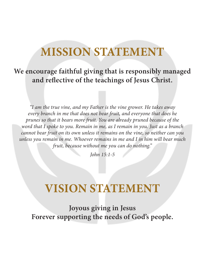# **MISSION STATEMENT**

# **We encourage faithful giving that is responsibly managed and reflective of the teachings of Jesus Christ.**

*"I am the true vine, and my Father is the vine grower. He takes away every branch in me that does not bear fruit, and everyone that does he prunes so that it bears more fruit. You are already pruned because of the word that I spoke to you. Remain in me, as I remain in you. Just as a branch cannot bear fruit on its own unless it remains on the vine, so neither can you unless you remain in me. Whoever remains in me and I in him will bear much fruit, because without me you can do nothing."*

*John 15:1-5*

# **VISION STATEMENT**

**Joyous giving in Jesus Forever supporting the needs of God's people.**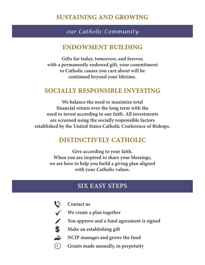### **SUSTAINING AND GROWING**

#### *our Catholic Community*

#### **ENDOWMENT BUILDING**

**Gifts for today, tomorrow, and forever, with a permanently endowed gift, your commitment to Catholic causes you care about will be continued beyond your lifetime.**

#### **SOCIALLY RESPONSIBLE INVESTING**

**We balance the need to maximize total financial return over the long term with the need to invest according to our faith. All investments are screened using the socially responsible factors established by the United States Catholic Conference of Bishops.**

#### **DISTINCTIVELY CATHOLIC**

**Give according to your faith. When you are inspired to share your blessings, we are here to help you build a giving plan aligned with your Catholic values.**

## **SIX EASY STEPS**



**Contact us**

**We create a plan together**

**You approve and a fund agreement is signed**

**Make an establishing gift**

**NCIP manages and grows the fund**

**Grants made annually, in perpetuity**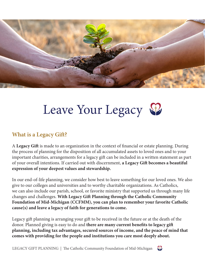

# Leave Your Legacy

#### **What is a Legacy Gift?**

A **Legacy Gift** is made to an organization in the context of financial or estate planning. During the process of planning for the disposition of all accumulated assets to loved ones and to your important charities, arrangements for a legacy gift can be included in a written statement as part of your overall intentions. If carried out with discernment, **a Legacy Gift becomes a beautiful expression of your deepest values and stewardship.**

In our end-of-life planning, we consider how best to leave something for our loved ones. We also give to our colleges and universities and to worthy charitable organizations. As Catholics, we can also include our parish, school, or favorite ministry that supported us through many life changes and challenges. **With Legacy Gift Planning through the Catholic Community Foundation of Mid-Michigan (CCFMM), you can plan to remember your favorite Catholic cause(s) and leave a legacy of faith for generations to come.**

Legacy gift planning is arranging your gift to be received in the future or at the death of the donor. Planned giving is easy to do and **there are many current benefits to legacy gift planning, including tax advantages, secured sources of income, and the peace of mind that comes with providing for the people and institutions you care most deeply about.**

LEGACY GIFT PLANNING | The Catholic Community Foundation of Mid-Michigan

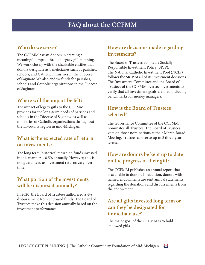#### **Who do we serve?**

The CCFMM assists donors in creating a meaningful impact through legacy gift planning. We work closely with the charitable entities that donors designate as beneficiaries such as parishes, schools, and Catholic ministries in the Diocese of Saginaw. We also endow funds for parishes, schools and Catholic organizations in the Diocese of Saginaw.

#### **Where will the impact be felt?**

The impact of legacy gifts to the CCFMM provides for the long-term needs of parishes and schools in the Diocese of Saginaw, as well as ministries of Catholic organizations throughout the 11-county region in mid-Michigan.

#### **What is the expected rate of return on investments?**

The long term, historical return on funds invested in this manner is 8.5% annually. However, this is not guaranteed as investment returns vary over time.

#### **What portion of the investments will be disbursed annually?**

In 2020, the Board of Trustees authorized a 4% disbursement from endowed funds. The Board of Trustees make this decision annually based on the investment performance.

#### **How are decisions made regarding investments?**

The Board of Trustees adopted a Socially Responsible Investment Policy (SRIP). The National Catholic Investment Pool (NCIP) follows the SRIP of all of its investment decisions. The Investment Committee and the Board of Trustees of the CCFMM oversee investments to verify that all investment goals are met, including benchmarks for money managers.

#### **How is the Board of Trustees selected?**

The Governance Committee of the CCFMM nominates all Trustees. The Board of Trustees vote on those nominations at their March Board Meeting. Trustees can serve up to 2 three-year terms.

#### **How are donors be kept up to date on the progress of their gift?**

The CCFMM publishes an annual report that is available to donors. In addition, donors with named endowments are sent annual statements regarding the donations and disbursements from the endowment.

#### **Are all gifts invested long term or can they be designated for immediate use?**

The major goal of the CCFMM is to hold endowed gifts.

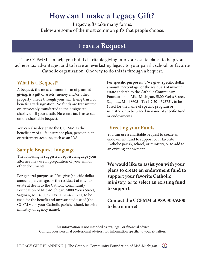# **How can I make a Legacy Gift?**

Legacy gifts take many forms. Below are some of the most common gifts that people choose.

## **Leave a Bequest**

The CCFMM can help you build charitable giving into your estate plans, to help you achieve tax advantages, and to leave an everlasting legacy to your parish, school, or favorite Catholic organization. One way to do this is through a bequest.

#### **What is a Bequest?**

A bequest, the most common form of planned giving, is a gift of assets (money and/or other property) made through your will, living trust, or beneficiary designation. No funds are transmitted or irrevocably transferred to the designated charity until your death. No estate tax is assessed on the charitable bequest.

You can also designate the CCFMM as the beneficiary of a life insurance plan, pension plan, or retirement account, such as an IRA.

#### **Sample Bequest Language**

The following is suggested bequest language your attorney may use in preparation of your will or other documents:

**For general purposes:** "I/we give (specific dollar amount, percentage, or the residual) of my/our estate at death to the Catholic Community Foundation of Mid-Michigan, 5800 Weiss Street, Saginaw, MI 48603 - Tax ID 20-4595721, to be used for the benefit and unrestricted use of (the CCFMM, or your Catholic parish, school, favorite ministry, or agency name).

**For specific purposes:** "I/we give (specific dollar amount, percentage, or the residual) of my/our estate at death to the Catholic Community Foundation of Mid-Michigan, 5800 Weiss Street, Saginaw, MI 48603 - Tax ID 20-4595721, to be (used for the name of specific program or ministry, or to be placed in name of specific fund or endowment).

#### **Directing your Funds**

You can use a charitable bequest to create an endowment fund to support your favorite Catholic parish, school, or ministry, or to add to an existing endowment.

**We would like to assist you with your plans to create an endowment fund to support your favorite Catholic ministry, or to select an existing fund to support.**

**Contact the CCFMM at 989.303.9200 to learn more!** 

This information is not intended as tax, legal, or financial advice. Consult your personal professional advisors for information specific to your situation.

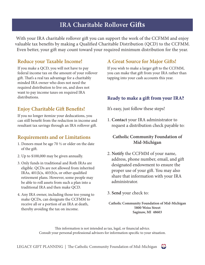# **IRA Charitable Rollover Gifts**

With your IRA charitable rollover gift you can support the work of the CCFMM and enjoy valuable tax benefits by making a Qualified Charitable Distribution (QCD) to the CCFMM. Even better, your gift may count toward your required minimum distribution for the year.

#### **Reduce your Taxable Income!**

If you make a QCD, you will not have to pay federal income tax on the amount of your rollover gift. That's a real tax advantage for a charitably minded IRA owner who does not need the required distribution to live on, and does not want to pay income taxes on required IRA distributions.

#### **Enjoy Charitable Gift Benefits!**

If you no longer itemize your deducations, you can still benefit from the reduction in income and resultant tax savings through an IRA rollover gift.

#### **Requirements and or Limitations**

- 1. Donors must be age 70  $\frac{1}{2}$  or older on the date of the gift.
- 2. Up to \$100,000 may be given annually.
- 3. Only funds in traditional and Roth IRAs are eligible. QCDs are not allowed from inherited IRAs, 401(k)s, 403(b)s, or other qualified retirement plans. However, some people may be able to roll assets from such a plan into a traditional IRA and then make QCD.
- 4. Any IRA owner, including those too young to make QCDs, can designate the CCFMM to receive all or a portion of an IRA at death, thereby avoiding the tax on income.

#### **A Great Source for Major Gifts!**

If you wish to make a larger gift to the CCFMM, you can make that gift from your IRA rather than tapping into your cash accounts this year.

#### **Ready to make a gift from your IRA?**

It's easy, just follow these steps!

1. **Contact** your IRA administrator to request a distribution check payable to:

#### **Catholic Community Foundation of Mid-Michigan**

- 2. **Notify** the CCFMM of your name, address, phone number, email, and gift designated endowment to ensure the proper use of your gift. You may also share that information with your IRA administrator.
- 3. **Send** your check to:

**Catholic Community Foundation of Mid-Michigan 5800 Weiss Street Saginaw, MI 48603**

This information is not intended as tax, legal, or financial advice. Consult your personal professional advisors for information specific to your situation.

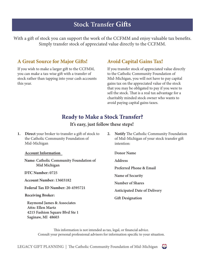## **Stock Transfer Gifts**

With a gift of stock you can support the work of the CCFMM and enjoy valuable tax benefits. Simply transfer stock of appreciated value directly to the CCFMM.

#### **A Great Source for Major Gifts!**

If you wish to make a larger gift to the CCFMM, you can make a tax-wise gift with a transfer of stock rather than tapping into your cash accounts this year.

#### **Avoid Capital Gains Tax!**

If you transfer stock of appreciated value directly to the Catholic Community Foundation of Mid-Michigan, you will not have to pay capital gains tax on the appreciated value of the stock that you may be obligated to pay if you were to sell the stock. That is a real tax advantage for a charitably minded stock owner who wants to avoid paying capital gains taxes.

#### **Ready to Make a Stock Transfer?**

#### **It's easy, just follow these steps!**

**1. Direct** your broker to transfer a gift of stock to the Catholic Community Foundation of Mid-Michigan

**Account Information**

**Name: Catholic Community Foundation of Mid Michigan**

 **DTC Number: 0725** 

 **Account Number: 13603182**

 **Federal Tax ID Number: 20-4595721**

**Receiving Broker:**

 **Raymond James & Associates Attn: Ellen Martz 4215 Fashion Square Blvd Ste 1 Saginaw, MI 48603**

**2. Notify** The Catholic Community Foundation of Mid-Michigan of your stock transfer gift intention:

**Donor Name**

**Address**

**Preferred Phone & Email**

**Name of Security**

**Number of Shares**

**Anticipated Date of Delivery**

**Gift Designation**

This information is not intended as tax, legal, or financial advice. Consult your personal professional advisors for information specific to your situation.